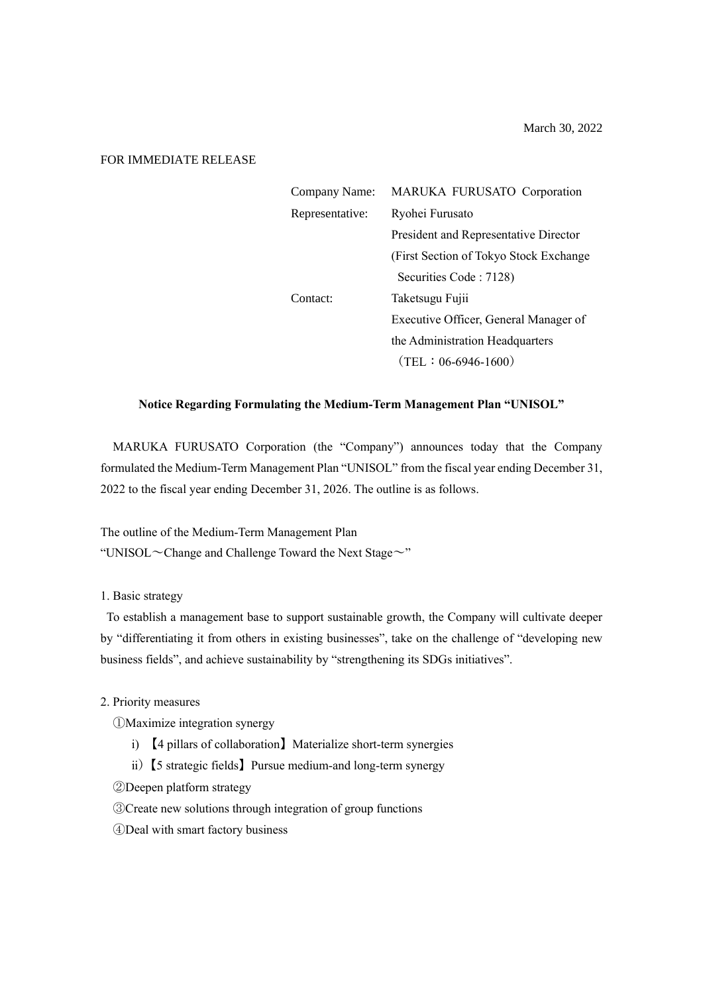March 30, 2022

## FOR IMMEDIATE RELEASE

| Company Name:   | MARUKA FURUSATO Corporation            |
|-----------------|----------------------------------------|
| Representative: | Ryohei Furusato                        |
|                 | President and Representative Director  |
|                 | (First Section of Tokyo Stock Exchange |
|                 | Securities Code: 7128)                 |
| Contact:        | Taketsugu Fujii                        |
|                 | Executive Officer, General Manager of  |
|                 | the Administration Headquarters        |
|                 | $(TEL: 06-6946-1600)$                  |

## **Notice Regarding Formulating the Medium-Term Management Plan "UNISOL"**

MARUKA FURUSATO Corporation (the "Company") announces today that the Company formulated the Medium-Term Management Plan "UNISOL" from the fiscal year ending December 31, 2022 to the fiscal year ending December 31, 2026. The outline is as follows.

The outline of the Medium-Term Management Plan "UNISOL $\sim$ Change and Challenge Toward the Next Stage $\sim$ "

1. Basic strategy

To establish a management base to support sustainable growth, the Company will cultivate deeper by "differentiating it from others in existing businesses", take on the challenge of "developing new business fields", and achieve sustainability by "strengthening its SDGs initiatives".

- 2. Priority measures
	- ①Maximize integration synergy
		- ⅰ) 【4 pillars of collaboration】Materialize short-term synergies
		- ii) 【5 strategic fields】 Pursue medium-and long-term synergy
	- ②Deepen platform strategy
	- ③Create new solutions through integration of group functions
	- ④Deal with smart factory business